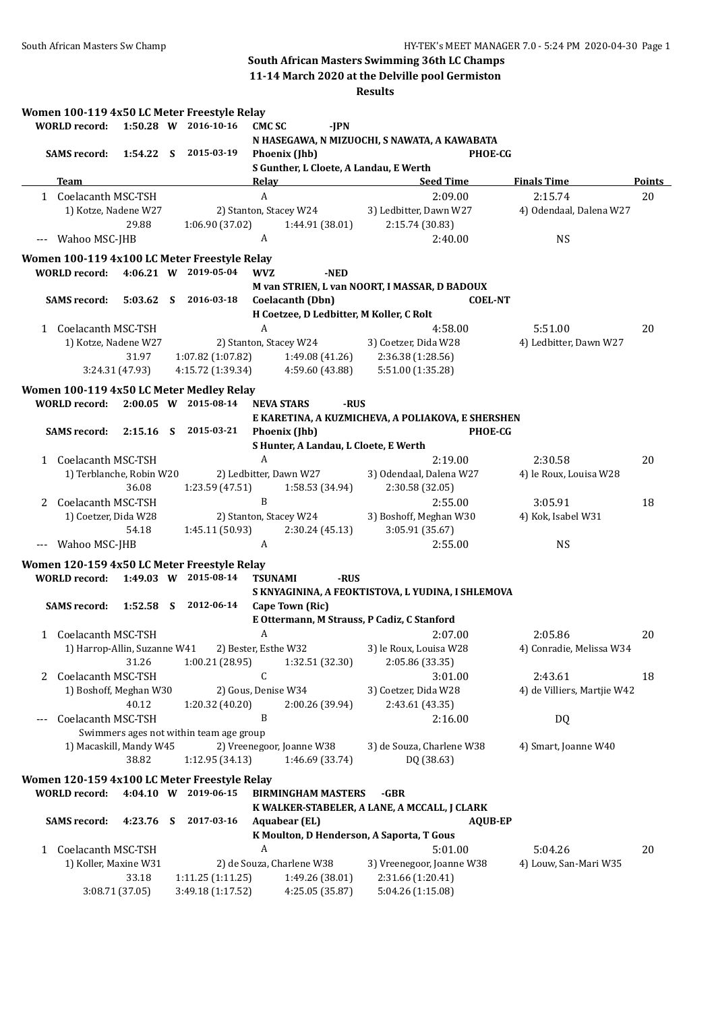**11-14 March 2020 at the Delville pool Germiston**

| ×<br>.,<br>۰.<br>۰.<br>٠ |
|--------------------------|
|--------------------------|

|       |                      |                                 |    | Women 100-119 4x50 LC Meter Freestyle Relay  |                      |                                       |                                                   |                |                             |               |
|-------|----------------------|---------------------------------|----|----------------------------------------------|----------------------|---------------------------------------|---------------------------------------------------|----------------|-----------------------------|---------------|
|       | <b>WORLD</b> record: |                                 |    | 1:50.28 W 2016-10-16                         | <b>CMCSC</b>         | $-IPN$                                |                                                   |                |                             |               |
|       | <b>SAMS record:</b>  |                                 |    | 1:54.22 S 2015-03-19                         |                      | Phoenix (Jhb)                         | N HASEGAWA, N MIZUOCHI, S NAWATA, A KAWABATA      | <b>PHOE-CG</b> |                             |               |
|       |                      |                                 |    |                                              |                      |                                       | S Gunther, L Cloete, A Landau, E Werth            |                |                             |               |
|       | Team                 |                                 |    |                                              | <b>Relay</b>         |                                       | <b>Seed Time</b>                                  |                | <b>Finals Time</b>          | <b>Points</b> |
|       | 1 Coelacanth MSC-TSH |                                 |    |                                              | A                    |                                       | 2:09.00                                           |                | 2:15.74                     | 20            |
|       |                      | 1) Kotze, Nadene W27            |    |                                              |                      | 2) Stanton, Stacey W24                | 3) Ledbitter, Dawn W27                            |                | 4) Odendaal, Dalena W27     |               |
|       |                      | 29.88                           |    | 1:06.90 (37.02)                              |                      | 1:44.91 (38.01)                       | 2:15.74 (30.83)                                   |                |                             |               |
|       | Wahoo MSC-JHB        |                                 |    |                                              | A                    |                                       | 2:40.00                                           |                | <b>NS</b>                   |               |
|       |                      |                                 |    | Women 100-119 4x100 LC Meter Freestyle Relay |                      |                                       |                                                   |                |                             |               |
|       | <b>WORLD record:</b> |                                 |    | 4:06.21 W 2019-05-04                         | <b>WVZ</b>           | -NED                                  |                                                   |                |                             |               |
|       |                      |                                 |    |                                              |                      |                                       | M van STRIEN, L van NOORT, I MASSAR, D BADOUX     |                |                             |               |
|       | <b>SAMS record:</b>  | $5:03.62$ S                     |    | 2016-03-18                                   |                      | Coelacanth (Dbn)                      |                                                   | <b>COEL-NT</b> |                             |               |
|       |                      |                                 |    |                                              |                      |                                       | H Coetzee, D Ledbitter, M Koller, C Rolt          |                |                             |               |
|       | 1 Coelacanth MSC-TSH |                                 |    |                                              | A                    |                                       | 4:58.00                                           |                | 5:51.00                     | 20            |
|       |                      | 1) Kotze, Nadene W27            |    |                                              |                      | 2) Stanton, Stacey W24                | 3) Coetzer, Dida W28                              |                | 4) Ledbitter, Dawn W27      |               |
|       |                      | 31.97<br>3:24.31 (47.93)        |    | 1:07.82 (1:07.82)<br>4:15.72 (1:39.34)       |                      | 1:49.08 (41.26)<br>4:59.60 (43.88)    | 2:36.38 (1:28.56)<br>5:51.00 (1:35.28)            |                |                             |               |
|       |                      |                                 |    |                                              |                      |                                       |                                                   |                |                             |               |
|       |                      |                                 |    | Women 100-119 4x50 LC Meter Medley Relay     |                      |                                       |                                                   |                |                             |               |
|       | <b>WORLD record:</b> |                                 |    | 2:00.05 W 2015-08-14                         | <b>NEVA STARS</b>    | -RUS                                  |                                                   |                |                             |               |
|       | <b>SAMS</b> record:  | $2:15.16$ S                     |    | 2015-03-21                                   |                      | Phoenix (Jhb)                         | E KARETINA, A KUZMICHEVA, A POLIAKOVA, E SHERSHEN | <b>PHOE-CG</b> |                             |               |
|       |                      |                                 |    |                                              |                      | S Hunter, A Landau, L Cloete, E Werth |                                                   |                |                             |               |
|       | 1 Coelacanth MSC-TSH |                                 |    |                                              | A                    |                                       | 2:19.00                                           |                | 2:30.58                     | 20            |
|       |                      | 1) Terblanche, Robin W20        |    |                                              |                      | 2) Ledbitter, Dawn W27                | 3) Odendaal, Dalena W27                           |                | 4) le Roux, Louisa W28      |               |
|       |                      | 36.08                           |    | 1:23.59 (47.51)                              |                      | 1:58.53 (34.94)                       | 2:30.58 (32.05)                                   |                |                             |               |
| 2     | Coelacanth MSC-TSH   |                                 |    |                                              | B                    |                                       | 2:55.00                                           |                | 3:05.91                     | 18            |
|       | 1) Coetzer, Dida W28 |                                 |    |                                              |                      | 2) Stanton, Stacey W24                | 3) Boshoff, Meghan W30                            |                | 4) Kok, Isabel W31          |               |
|       |                      | 54.18                           |    | 1:45.11 (50.93)                              |                      | 2:30.24 (45.13)                       | 3:05.91 (35.67)                                   |                |                             |               |
| $---$ | Wahoo MSC-JHB        |                                 |    |                                              | A                    |                                       | 2:55.00                                           |                | <b>NS</b>                   |               |
|       |                      |                                 |    | Women 120-159 4x50 LC Meter Freestyle Relay  |                      |                                       |                                                   |                |                             |               |
|       | <b>WORLD</b> record: |                                 |    | 1:49.03 W 2015-08-14                         | <b>TSUNAMI</b>       | -RUS                                  |                                                   |                |                             |               |
|       |                      |                                 |    |                                              |                      |                                       | S KNYAGININA, A FEOKTISTOVA, L YUDINA, I SHLEMOVA |                |                             |               |
|       | <b>SAMS</b> record:  | 1:52.58                         | -S | 2012-06-14                                   |                      | Cape Town (Ric)                       |                                                   |                |                             |               |
|       |                      |                                 |    |                                              |                      |                                       | E Ottermann, M Strauss, P Cadiz, C Stanford       |                |                             |               |
|       | 1 Coelacanth MSC-TSH |                                 |    |                                              | A                    |                                       | 2:07.00                                           |                | 2:05.86                     | 20            |
|       |                      | 1) Harrop-Allin, Suzanne W41    |    |                                              | 2) Bester, Esthe W32 |                                       | 3) le Roux, Louisa W28                            |                | 4) Conradie, Melissa W34    |               |
|       |                      | 31.26                           |    | 1:00.21 (28.95)                              |                      | 1:32.51 (32.30)                       | 2:05.86 (33.35)                                   |                |                             |               |
| 2     | Coelacanth MSC-TSH   |                                 |    |                                              | C                    |                                       | 3:01.00                                           |                | 2:43.61                     | 18            |
|       |                      | 1) Boshoff, Meghan W30<br>40.12 |    |                                              | 2) Gous, Denise W34  | 2:00.26 (39.94)                       | 3) Coetzer, Dida W28<br>2:43.61 (43.35)           |                | 4) de Villiers, Martjie W42 |               |
| $---$ | Coelacanth MSC-TSH   |                                 |    | 1:20.32 (40.20)                              | B                    |                                       | 2:16.00                                           |                | DQ                          |               |
|       |                      |                                 |    | Swimmers ages not within team age group      |                      |                                       |                                                   |                |                             |               |
|       |                      | 1) Macaskill, Mandy W45         |    |                                              |                      | 2) Vreenegoor, Joanne W38             | 3) de Souza, Charlene W38                         |                | 4) Smart, Joanne W40        |               |
|       |                      | 38.82                           |    | 1:12.95(34.13)                               |                      | 1:46.69 (33.74)                       | DQ (38.63)                                        |                |                             |               |
|       |                      |                                 |    | Women 120-159 4x100 LC Meter Freestyle Relay |                      |                                       |                                                   |                |                             |               |
|       | <b>WORLD record:</b> |                                 |    | 4:04.10 W 2019-06-15                         |                      | <b>BIRMINGHAM MASTERS</b>             | -GBR                                              |                |                             |               |
|       |                      |                                 |    |                                              |                      |                                       | K WALKER-STABELER, A LANE, A MCCALL, J CLARK      |                |                             |               |
|       | <b>SAMS</b> record:  | 4:23.76                         | S  | 2017-03-16                                   |                      | <b>Aquabear (EL)</b>                  |                                                   | <b>AQUB-EP</b> |                             |               |
|       |                      |                                 |    |                                              |                      |                                       | K Moulton, D Henderson, A Saporta, T Gous         |                |                             |               |
| 1     | Coelacanth MSC-TSH   |                                 |    |                                              | A                    |                                       | 5:01.00                                           |                | 5:04.26                     | 20            |
|       |                      | 1) Koller, Maxine W31           |    |                                              |                      | 2) de Souza, Charlene W38             | 3) Vreenegoor, Joanne W38                         |                | 4) Louw, San-Mari W35       |               |
|       |                      | 33.18                           |    | 1:11.25(1:11.25)                             |                      | 1:49.26 (38.01)                       | 2:31.66 (1:20.41)                                 |                |                             |               |
|       |                      | 3:08.71 (37.05)                 |    | 3:49.18 (1:17.52)                            |                      | 4:25.05 (35.87)                       | 5:04.26 (1:15.08)                                 |                |                             |               |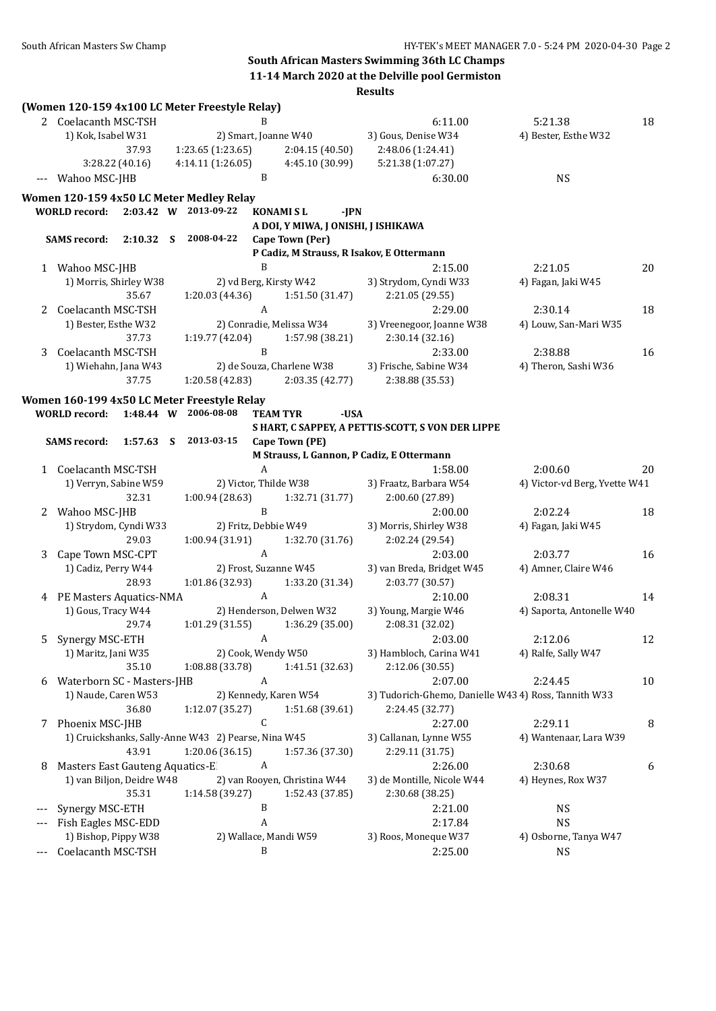# **South African Masters Swimming 36th LC Champs 11-14 March 2020 at the Delville pool Germiston**

|       |                                 |                 |   | (Women 120-159 4x100 LC Meter Freestyle Relay)      |                |                                     |                                                      |                               |    |
|-------|---------------------------------|-----------------|---|-----------------------------------------------------|----------------|-------------------------------------|------------------------------------------------------|-------------------------------|----|
|       | 2 Coelacanth MSC-TSH            |                 |   |                                                     | B              |                                     | 6:11.00                                              | 5:21.38                       | 18 |
|       | 1) Kok, Isabel W31              |                 |   |                                                     |                | 2) Smart, Joanne W40                | 3) Gous, Denise W34                                  | 4) Bester, Esthe W32          |    |
|       | 37.93                           |                 |   | 1:23.65 (1:23.65)                                   |                | 2:04.15 (40.50)                     | 2:48.06 (1:24.41)                                    |                               |    |
|       |                                 | 3:28.22 (40.16) |   | 4:14.11(1:26.05)                                    |                | 4:45.10 (30.99)                     | 5:21.38 (1:07.27)                                    |                               |    |
|       | Wahoo MSC-JHB                   |                 |   |                                                     | B              |                                     | 6:30.00                                              | <b>NS</b>                     |    |
|       |                                 |                 |   | Women 120-159 4x50 LC Meter Medley Relay            |                |                                     |                                                      |                               |    |
|       | <b>WORLD</b> record:            |                 |   | 2:03.42 W 2013-09-22                                |                | <b>KONAMISL</b><br>-JPN             |                                                      |                               |    |
|       |                                 |                 |   |                                                     |                | A DOI, Y MIWA, J ONISHI, J ISHIKAWA |                                                      |                               |    |
|       | <b>SAMS</b> record:             | 2:10.32 S       |   | 2008-04-22                                          |                | Cape Town (Per)                     |                                                      |                               |    |
|       |                                 |                 |   |                                                     |                |                                     | P Cadiz, M Strauss, R Isakov, E Ottermann            |                               |    |
|       | 1 Wahoo MSC-JHB                 |                 |   |                                                     | B              |                                     | 2:15.00                                              | 2:21.05                       | 20 |
|       | 1) Morris, Shirley W38          |                 |   |                                                     |                | 2) vd Berg, Kirsty W42              | 3) Strydom, Cyndi W33                                | 4) Fagan, Jaki W45            |    |
|       |                                 | 35.67           |   | 1:20.03 (44.36)                                     |                | 1:51.50 (31.47)                     | 2:21.05 (29.55)                                      |                               |    |
| 2     | Coelacanth MSC-TSH              |                 |   |                                                     | A              |                                     | 2:29.00                                              | 2:30.14                       | 18 |
|       | 1) Bester, Esthe W32            |                 |   |                                                     |                | 2) Conradie, Melissa W34            | 3) Vreenegoor, Joanne W38                            | 4) Louw, San-Mari W35         |    |
|       |                                 | 37.73           |   | 1:19.77 (42.04)                                     |                | 1:57.98 (38.21)                     | 2:30.14 (32.16)                                      |                               |    |
| 3     | Coelacanth MSC-TSH              |                 |   |                                                     | B              |                                     | 2:33.00                                              | 2:38.88                       | 16 |
|       | 1) Wiehahn, Jana W43            |                 |   |                                                     |                | 2) de Souza, Charlene W38           | 3) Frische, Sabine W34                               | 4) Theron, Sashi W36          |    |
|       |                                 | 37.75           |   | 1:20.58 (42.83)                                     |                | 2:03.35 (42.77)                     | 2:38.88 (35.53)                                      |                               |    |
|       |                                 |                 |   | Women 160-199 4x50 LC Meter Freestyle Relay         |                |                                     |                                                      |                               |    |
|       | <b>WORLD</b> record:            |                 |   | 1:48.44 W 2006-08-08                                |                | -USA<br><b>TEAM TYR</b>             |                                                      |                               |    |
|       |                                 |                 |   |                                                     |                |                                     | S HART, C SAPPEY, A PETTIS-SCOTT, S VON DER LIPPE    |                               |    |
|       | <b>SAMS</b> record:             | 1:57.63         | S | 2013-03-15                                          |                | Cape Town (PE)                      |                                                      |                               |    |
|       |                                 |                 |   |                                                     |                |                                     | M Strauss, L Gannon, P Cadiz, E Ottermann            |                               |    |
|       | 1 Coelacanth MSC-TSH            |                 |   |                                                     | A              |                                     | 1:58.00                                              | 2:00.60                       | 20 |
|       | 1) Verryn, Sabine W59           |                 |   |                                                     |                | 2) Victor, Thilde W38               | 3) Fraatz, Barbara W54                               | 4) Victor-vd Berg, Yvette W41 |    |
|       |                                 | 32.31           |   | 1:00.94 (28.63)                                     |                | 1:32.71 (31.77)                     | 2:00.60 (27.89)                                      |                               |    |
| 2     | Wahoo MSC-JHB                   |                 |   |                                                     | B              |                                     | 2:00.00                                              | 2:02.24                       | 18 |
|       | 1) Strydom, Cyndi W33           |                 |   | 2) Fritz, Debbie W49                                |                |                                     | 3) Morris, Shirley W38                               | 4) Fagan, Jaki W45            |    |
|       |                                 | 29.03           |   | 1:00.94 (31.91)                                     |                | 1:32.70 (31.76)                     | 2:02.24 (29.54)                                      |                               |    |
| 3     | Cape Town MSC-CPT               |                 |   |                                                     | A              |                                     | 2:03.00                                              | 2:03.77                       | 16 |
|       | 1) Cadiz, Perry W44             |                 |   |                                                     |                | 2) Frost, Suzanne W45               | 3) van Breda, Bridget W45                            | 4) Amner, Claire W46          |    |
|       |                                 | 28.93           |   | 1:01.86 (32.93)                                     |                | 1:33.20 (31.34)                     | 2:03.77 (30.57)                                      |                               |    |
|       | 4 PE Masters Aquatics-NMA       |                 |   |                                                     | A              |                                     | 2:10.00                                              | 2:08.31                       | 14 |
|       | 1) Gous, Tracy W44              |                 |   |                                                     |                | 2) Henderson, Delwen W32            | 3) Young, Margie W46                                 | 4) Saporta, Antonelle W40     |    |
|       |                                 | 29.74           |   | 1:01.29(31.55)                                      |                | 1:36.29 (35.00)                     | 2:08.31 (32.02)                                      |                               |    |
| 5     | Synergy MSC-ETH                 |                 |   |                                                     | $\overline{A}$ |                                     | 2:03.00                                              | 2:12.06                       | 12 |
|       | 1) Maritz, Jani W35             |                 |   | 2) Cook, Wendy W50                                  |                |                                     | 3) Hambloch, Carina W41                              | 4) Ralfe, Sally W47           |    |
|       |                                 | 35.10           |   | 1:08.88 (33.78)                                     |                | 1:41.51 (32.63)                     | 2:12.06 (30.55)                                      |                               |    |
| 6     | Waterborn SC - Masters-JHB      |                 |   |                                                     | A              |                                     | 2:07.00                                              | 2:24.45                       | 10 |
|       | 1) Naude, Caren W53             |                 |   |                                                     |                | 2) Kennedy, Karen W54               | 3) Tudorich-Ghemo, Danielle W43 4) Ross, Tannith W33 |                               |    |
|       |                                 | 36.80           |   | 1:12.07 (35.27)                                     |                | 1:51.68 (39.61)                     | 2:24.45 (32.77)                                      |                               |    |
| 7     | Phoenix MSC-JHB                 |                 |   |                                                     | C              |                                     | 2:27.00                                              | 2:29.11                       | 8  |
|       |                                 |                 |   | 1) Cruickshanks, Sally-Anne W43 2) Pearse, Nina W45 |                |                                     | 3) Callanan, Lynne W55                               | 4) Wantenaar, Lara W39        |    |
|       |                                 | 43.91           |   | 1:20.06 (36.15)                                     |                | 1:57.36 (37.30)                     | 2:29.11 (31.75)                                      |                               |    |
| 8     | Masters East Gauteng Aquatics-E |                 |   |                                                     | A              |                                     | 2:26.00                                              | 2:30.68                       | 6  |
|       | 1) van Biljon, Deidre W48       |                 |   |                                                     |                | 2) van Rooyen, Christina W44        | 3) de Montille, Nicole W44                           | 4) Heynes, Rox W37            |    |
|       |                                 | 35.31           |   | 1:14.58 (39.27)                                     |                | 1:52.43 (37.85)                     | 2:30.68 (38.25)                                      |                               |    |
|       | Synergy MSC-ETH                 |                 |   |                                                     | B              |                                     | 2:21.00                                              | <b>NS</b>                     |    |
|       | Fish Eagles MSC-EDD             |                 |   |                                                     | A              |                                     | 2:17.84                                              | <b>NS</b>                     |    |
|       | 1) Bishop, Pippy W38            |                 |   |                                                     |                | 2) Wallace, Mandi W59               | 3) Roos, Moneque W37                                 | 4) Osborne, Tanya W47         |    |
| $---$ | Coelacanth MSC-TSH              |                 |   |                                                     | B              |                                     | 2:25.00                                              | <b>NS</b>                     |    |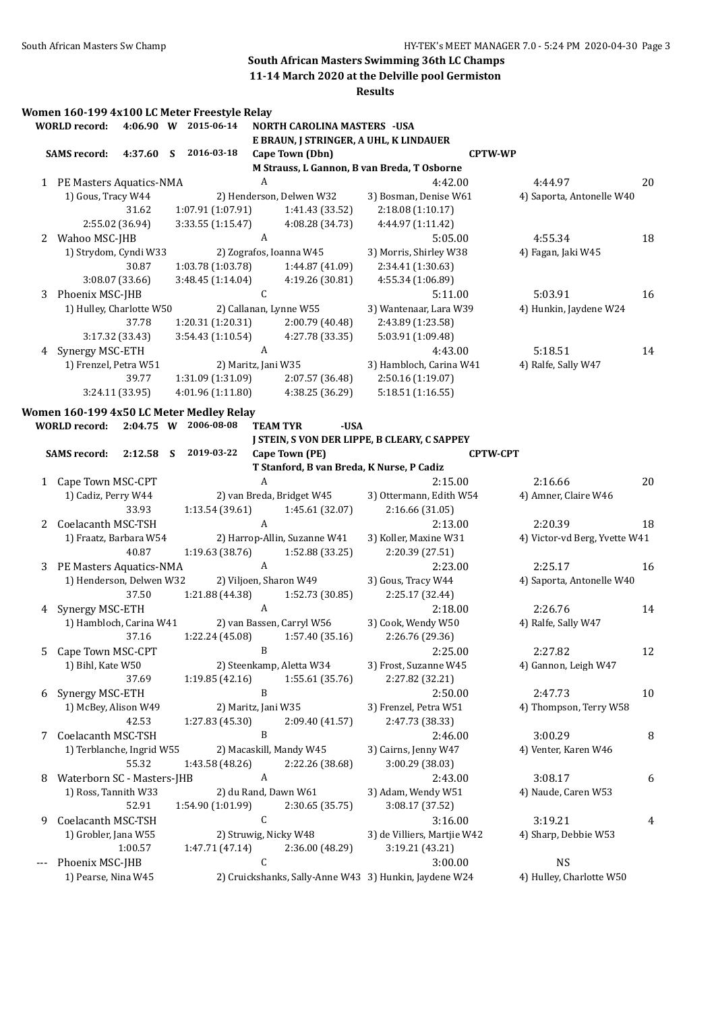**11-14 March 2020 at the Delville pool Germiston**

|    |                            |                 |   | Women 160-199 4x100 LC Meter Freestyle Relay |                  |                                           |                                                        |                 |                                |    |
|----|----------------------------|-----------------|---|----------------------------------------------|------------------|-------------------------------------------|--------------------------------------------------------|-----------------|--------------------------------|----|
|    | <b>WORLD</b> record:       |                 |   | 4:06.90 W 2015-06-14                         |                  | NORTH CAROLINA MASTERS - USA              |                                                        |                 |                                |    |
|    |                            |                 |   |                                              |                  | E BRAUN, J STRINGER, A UHL, K LINDAUER    |                                                        |                 |                                |    |
|    | <b>SAMS</b> record:        | 4:37.60         | S | 2016-03-18                                   |                  | Cape Town (Dbn)                           |                                                        | <b>CPTW-WP</b>  |                                |    |
|    |                            |                 |   |                                              |                  |                                           | M Strauss, L Gannon, B van Breda, T Osborne            |                 |                                |    |
|    | 1 PE Masters Aquatics-NMA  |                 |   |                                              | $\boldsymbol{A}$ |                                           | 4:42.00                                                |                 | 4:44.97                        | 20 |
|    | 1) Gous, Tracy W44         |                 |   |                                              |                  | 2) Henderson, Delwen W32                  | 3) Bosman, Denise W61                                  |                 | 4) Saporta, Antonelle W40      |    |
|    |                            | 31.62           |   | 1:07.91 (1:07.91)                            |                  | 1:41.43 (33.52)                           | 2:18.08 (1:10.17)                                      |                 |                                |    |
|    |                            | 2:55.02 (36.94) |   | 3:33.55 (1:15.47)                            |                  | 4:08.28 (34.73)                           | 4:44.97 (1:11.42)                                      |                 |                                |    |
|    | 2 Wahoo MSC-JHB            |                 |   |                                              | A                |                                           | 5:05.00                                                |                 | 4:55.34                        | 18 |
|    | 1) Strydom, Cyndi W33      |                 |   |                                              |                  | 2) Zografos, Ioanna W45                   | 3) Morris, Shirley W38                                 |                 | 4) Fagan, Jaki W45             |    |
|    |                            | 30.87           |   | 1:03.78(1:03.78)                             |                  | 1:44.87 (41.09)                           | 2:34.41 (1:30.63)                                      |                 |                                |    |
|    |                            | 3:08.07 (33.66) |   | 3:48.45 (1:14.04)                            |                  | 4:19.26 (30.81)                           | 4:55.34 (1:06.89)                                      |                 |                                |    |
| 3  | Phoenix MSC-JHB            |                 |   |                                              | $\mathsf C$      |                                           | 5:11.00                                                |                 | 5:03.91                        | 16 |
|    | 1) Hulley, Charlotte W50   |                 |   |                                              |                  | 2) Callanan, Lynne W55                    | 3) Wantenaar, Lara W39                                 |                 | 4) Hunkin, Jaydene W24         |    |
|    |                            | 37.78           |   | 1:20.31 (1:20.31)                            |                  | 2:00.79 (40.48)                           | 2:43.89 (1:23.58)                                      |                 |                                |    |
|    |                            | 3:17.32 (33.43) |   | 3:54.43 (1:10.54)                            |                  | 4:27.78 (33.35)                           | 5:03.91 (1:09.48)                                      |                 |                                |    |
| 4  | Synergy MSC-ETH            |                 |   |                                              | $\boldsymbol{A}$ |                                           | 4:43.00                                                |                 | 5:18.51                        | 14 |
|    | 1) Frenzel, Petra W51      |                 |   | 2) Maritz, Jani W35                          |                  |                                           | 3) Hambloch, Carina W41                                |                 | 4) Ralfe, Sally W47            |    |
|    |                            | 39.77           |   | 1:31.09 (1:31.09)                            |                  | 2:07.57 (36.48)                           | 2:50.16 (1:19.07)                                      |                 |                                |    |
|    |                            | 3:24.11 (33.95) |   | 4:01.96(1:11.80)                             |                  | 4:38.25 (36.29)                           | 5:18.51 (1:16.55)                                      |                 |                                |    |
|    |                            |                 |   | Women 160-199 4x50 LC Meter Medley Relay     |                  |                                           |                                                        |                 |                                |    |
|    | <b>WORLD</b> record:       | $2:04.75$ W     |   | 2006-08-08                                   |                  | <b>TEAM TYR</b><br>-USA                   |                                                        |                 |                                |    |
|    |                            |                 |   |                                              |                  |                                           | J STEIN, S VON DER LIPPE, B CLEARY, C SAPPEY           |                 |                                |    |
|    | <b>SAMS</b> record:        | 2:12.58         | S | 2019-03-22                                   |                  | Cape Town (PE)                            |                                                        | <b>CPTW-CPT</b> |                                |    |
|    |                            |                 |   |                                              |                  | T Stanford, B van Breda, K Nurse, P Cadiz |                                                        |                 |                                |    |
|    | 1 Cape Town MSC-CPT        |                 |   |                                              | $\boldsymbol{A}$ |                                           | 2:15.00                                                |                 | 2:16.66                        | 20 |
|    | 1) Cadiz, Perry W44        |                 |   |                                              |                  | 2) van Breda, Bridget W45                 | 3) Ottermann, Edith W54                                |                 | 4) Amner, Claire W46           |    |
|    |                            | 33.93           |   | 1:13.54 (39.61)                              |                  | 1:45.61 (32.07)                           | 2:16.66 (31.05)                                        |                 |                                |    |
| 2  | Coelacanth MSC-TSH         |                 |   |                                              | A                |                                           | 2:13.00                                                |                 | 2:20.39                        | 18 |
|    | 1) Fraatz, Barbara W54     |                 |   |                                              |                  | 2) Harrop-Allin, Suzanne W41              | 3) Koller, Maxine W31                                  |                 | 4) Victor-vd Berg, Yvette W41  |    |
|    |                            | 40.87           |   | 1:19.63 (38.76)                              |                  | 1:52.88 (33.25)                           | 2:20.39 (27.51)                                        |                 |                                |    |
| 3  | PE Masters Aquatics-NMA    |                 |   |                                              | A                |                                           | 2:23.00                                                |                 | 2:25.17                        | 16 |
|    | 1) Henderson, Delwen W32   |                 |   |                                              |                  | 2) Viljoen, Sharon W49                    | 3) Gous, Tracy W44                                     |                 | 4) Saporta, Antonelle W40      |    |
|    |                            | 37.50           |   | 1:21.88 (44.38)                              |                  | 1:52.73 (30.85)                           | 2:25.17 (32.44)                                        |                 |                                |    |
| 4  | Synergy MSC-ETH            |                 |   |                                              | $\boldsymbol{A}$ |                                           | 2:18.00                                                |                 | 2:26.76                        | 14 |
|    | 1) Hambloch, Carina W41    |                 |   |                                              |                  | 2) van Bassen, Carryl W56                 | 3) Cook, Wendy W50                                     |                 | 4) Ralfe, Sally W47            |    |
|    |                            | 37.16           |   | 1:22.24 (45.08)                              |                  | 1:57.40 (35.16)                           | 2:26.76 (29.36)                                        |                 |                                |    |
| 5. | Cape Town MSC-CPT          |                 |   |                                              | $\, {\bf B}$     |                                           | 2:25.00                                                |                 | 2:27.82                        | 12 |
|    | 1) Bihl, Kate W50          |                 |   |                                              |                  | 2) Steenkamp, Aletta W34                  | 3) Frost, Suzanne W45                                  |                 | 4) Gannon, Leigh W47           |    |
|    |                            | 37.69           |   | 1:19.85(42.16)                               |                  | 1:55.61 (35.76)                           | 2:27.82 (32.21)                                        |                 |                                |    |
| 6  | Synergy MSC-ETH            |                 |   |                                              | $\, {\bf B}$     |                                           | 2:50.00                                                |                 | 2:47.73                        | 10 |
|    | 1) McBey, Alison W49       |                 |   | 2) Maritz, Jani W35                          |                  |                                           | 3) Frenzel, Petra W51                                  |                 | 4) Thompson, Terry W58         |    |
|    |                            | 42.53           |   | 1:27.83 (45.30)                              |                  | 2:09.40 (41.57)                           | 2:47.73 (38.33)                                        |                 |                                |    |
| 7  | Coelacanth MSC-TSH         |                 |   |                                              | B                |                                           | 2:46.00                                                |                 | 3:00.29                        | 8  |
|    | 1) Terblanche, Ingrid W55  |                 |   |                                              |                  | 2) Macaskill, Mandy W45                   | 3) Cairns, Jenny W47                                   |                 | 4) Venter, Karen W46           |    |
|    |                            | 55.32           |   | 1:43.58 (48.26)                              |                  | 2:22.26 (38.68)                           | 3:00.29 (38.03)                                        |                 |                                |    |
|    | Waterborn SC - Masters-JHB |                 |   |                                              | A                |                                           | 2:43.00                                                |                 |                                |    |
| 8  |                            |                 |   |                                              |                  | 2) du Rand, Dawn W61                      | 3) Adam, Wendy W51                                     |                 | 3:08.17<br>4) Naude, Caren W53 | 6  |
|    | 1) Ross, Tannith W33       |                 |   |                                              |                  |                                           |                                                        |                 |                                |    |
|    |                            | 52.91           |   | 1:54.90 (1:01.99)                            |                  | 2:30.65 (35.75)                           | 3:08.17 (37.52)                                        |                 |                                |    |
| 9  | Coelacanth MSC-TSH         |                 |   |                                              | C                |                                           | 3:16.00                                                |                 | 3:19.21                        | 4  |
|    | 1) Grobler, Jana W55       |                 |   |                                              |                  | 2) Struwig, Nicky W48                     | 3) de Villiers, Martjie W42                            |                 | 4) Sharp, Debbie W53           |    |
|    |                            | 1:00.57         |   | 1:47.71 (47.14)                              |                  | 2:36.00 (48.29)                           | 3:19.21 (43.21)                                        |                 |                                |    |
|    | Phoenix MSC-JHB            |                 |   |                                              | C                |                                           | 3:00.00                                                |                 | <b>NS</b>                      |    |
|    | 1) Pearse, Nina W45        |                 |   |                                              |                  |                                           | 2) Cruickshanks, Sally-Anne W43 3) Hunkin, Jaydene W24 |                 | 4) Hulley, Charlotte W50       |    |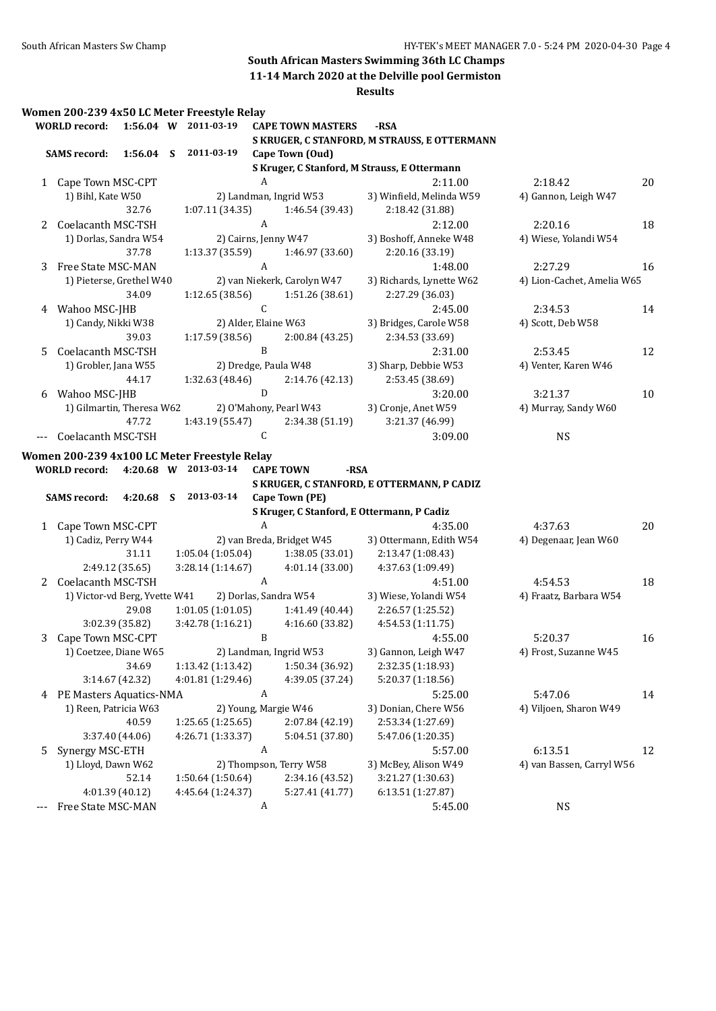**11-14 March 2020 at the Delville pool Germiston**

**Results**

#### **Women 200-239 4x50 LC Meter Freestyle Relay**

|    | <b>WORLD</b> record:          |                 |   | 1:56.04 W 2011-03-19                         |              | <b>CAPE TOWN MASTERS</b>    | -RSA                                         |                            |    |
|----|-------------------------------|-----------------|---|----------------------------------------------|--------------|-----------------------------|----------------------------------------------|----------------------------|----|
|    |                               |                 |   |                                              |              |                             | S KRUGER, C STANFORD, M STRAUSS, E OTTERMANN |                            |    |
|    | <b>SAMS</b> record:           | 1:56.04         | S | 2011-03-19                                   |              | Cape Town (Oud)             |                                              |                            |    |
|    |                               |                 |   |                                              |              |                             | S Kruger, C Stanford, M Strauss, E Ottermann |                            |    |
|    | 1 Cape Town MSC-CPT           |                 |   |                                              | A            |                             | 2:11.00                                      | 2:18.42                    | 20 |
|    | 1) Bihl, Kate W50             |                 |   |                                              |              | 2) Landman, Ingrid W53      | 3) Winfield, Melinda W59                     | 4) Gannon, Leigh W47       |    |
|    |                               | 32.76           |   | 1:07.11 (34.35)                              |              | 1:46.54 (39.43)             | 2:18.42 (31.88)                              |                            |    |
|    | 2 Coelacanth MSC-TSH          |                 |   |                                              | A            |                             | 2:12.00                                      | 2:20.16                    | 18 |
|    | 1) Dorlas, Sandra W54         |                 |   |                                              |              | 2) Cairns, Jenny W47        | 3) Boshoff, Anneke W48                       | 4) Wiese, Yolandi W54      |    |
|    |                               | 37.78           |   | 1:13.37 (35.59)                              |              | 1:46.97 (33.60)             | 2:20.16 (33.19)                              |                            |    |
| 3  | Free State MSC-MAN            |                 |   |                                              | A            |                             | 1:48.00                                      | 2:27.29                    | 16 |
|    | 1) Pieterse, Grethel W40      |                 |   |                                              |              | 2) van Niekerk, Carolyn W47 | 3) Richards, Lynette W62                     | 4) Lion-Cachet, Amelia W65 |    |
|    |                               | 34.09           |   | 1:12.65 (38.56)                              |              | 1:51.26 (38.61)             | 2:27.29 (36.03)                              |                            |    |
| 4  | Wahoo MSC-JHB                 |                 |   |                                              | $\mathsf C$  |                             | 2:45.00                                      | 2:34.53                    | 14 |
|    | 1) Candy, Nikki W38           |                 |   |                                              |              | 2) Alder, Elaine W63        | 3) Bridges, Carole W58                       | 4) Scott, Deb W58          |    |
|    |                               | 39.03           |   | 1:17.59 (38.56)                              |              | 2:00.84 (43.25)             | 2:34.53 (33.69)                              |                            |    |
| 5. | Coelacanth MSC-TSH            |                 |   |                                              | B            |                             | 2:31.00                                      | 2:53.45                    | 12 |
|    | 1) Grobler, Jana W55          |                 |   |                                              |              | 2) Dredge, Paula W48        |                                              |                            |    |
|    |                               | 44.17           |   |                                              |              |                             | 3) Sharp, Debbie W53                         | 4) Venter, Karen W46       |    |
|    |                               |                 |   | 1:32.63(48.46)                               | ${\bf D}$    | 2:14.76 (42.13)             | 2:53.45 (38.69)                              |                            |    |
|    | 6 Wahoo MSC-JHB               |                 |   |                                              |              |                             | 3:20.00                                      | 3:21.37                    | 10 |
|    | 1) Gilmartin, Theresa W62     |                 |   |                                              |              | 2) O'Mahony, Pearl W43      | 3) Cronje, Anet W59                          | 4) Murray, Sandy W60       |    |
|    |                               | 47.72           |   | 1:43.19 (55.47)                              |              | 2:34.38 (51.19)             | 3:21.37 (46.99)                              |                            |    |
|    | Coelacanth MSC-TSH            |                 |   |                                              | $\mathsf{C}$ |                             | 3:09.00                                      | <b>NS</b>                  |    |
|    |                               |                 |   | Women 200-239 4x100 LC Meter Freestyle Relay |              |                             |                                              |                            |    |
|    | <b>WORLD</b> record:          |                 |   | 4:20.68 W 2013-03-14                         |              | <b>CAPE TOWN</b><br>-RSA    |                                              |                            |    |
|    |                               |                 |   |                                              |              |                             | S KRUGER, C STANFORD, E OTTERMANN, P CADIZ   |                            |    |
|    | <b>SAMS</b> record:           | 4:20.68         | S | 2013-03-14                                   |              | Cape Town (PE)              |                                              |                            |    |
|    |                               |                 |   |                                              |              |                             | S Kruger, C Stanford, E Ottermann, P Cadiz   |                            |    |
|    | 1 Cape Town MSC-CPT           |                 |   |                                              | A            |                             | 4:35.00                                      | 4:37.63                    | 20 |
|    | 1) Cadiz, Perry W44           |                 |   |                                              |              | 2) van Breda, Bridget W45   | 3) Ottermann, Edith W54                      | 4) Degenaar, Jean W60      |    |
|    |                               | 31.11           |   | 1:05.04(1:05.04)                             |              | 1:38.05 (33.01)             | 2:13.47 (1:08.43)                            |                            |    |
|    |                               | 2:49.12 (35.65) |   | 3:28.14 (1:14.67)                            |              | 4:01.14(33.00)              | 4:37.63 (1:09.49)                            |                            |    |
| 2  | Coelacanth MSC-TSH            |                 |   |                                              | A            |                             | 4:51.00                                      | 4:54.53                    | 18 |
|    | 1) Victor-vd Berg, Yvette W41 |                 |   |                                              |              | 2) Dorlas, Sandra W54       | 3) Wiese, Yolandi W54                        | 4) Fraatz, Barbara W54     |    |
|    |                               | 29.08           |   | 1:01.05(1:01.05)                             |              | 1:41.49 (40.44)             | 2:26.57 (1:25.52)                            |                            |    |
|    |                               | 3:02.39 (35.82) |   | 3:42.78 (1:16.21)                            |              | 4:16.60 (33.82)             | 4:54.53 (1:11.75)                            |                            |    |
| 3  | Cape Town MSC-CPT             |                 |   |                                              | B            |                             | 4:55.00                                      | 5:20.37                    | 16 |
|    |                               |                 |   |                                              |              | 2) Landman, Ingrid W53      | 3) Gannon, Leigh W47                         |                            |    |
|    | 1) Coetzee, Diane W65         |                 |   |                                              |              |                             |                                              | 4) Frost, Suzanne W45      |    |
|    |                               | 34.69           |   | 1:13.42 (1:13.42)                            |              | 1:50.34 (36.92)             | 2:32.35 (1:18.93)                            |                            |    |
|    |                               | 3:14.67 (42.32) |   | 4:01.81 (1:29.46)                            |              | 4:39.05 (37.24)             | 5:20.37 (1:18.56)                            |                            |    |
| 4  | PE Masters Aquatics-NMA       |                 |   |                                              | A            |                             | 5:25.00                                      | 5:47.06                    | 14 |
|    | 1) Reen, Patricia W63         |                 |   |                                              |              | 2) Young, Margie W46        | 3) Donian, Chere W56                         | 4) Viljoen, Sharon W49     |    |
|    |                               | 40.59           |   | 1:25.65 (1:25.65)                            |              | 2:07.84 (42.19)             | 2:53.34 (1:27.69)                            |                            |    |
|    |                               | 3:37.40 (44.06) |   | 4:26.71 (1:33.37)                            |              | 5:04.51 (37.80)             | 5:47.06 (1:20.35)                            |                            |    |
| 5  | Synergy MSC-ETH               |                 |   |                                              | A            |                             | 5:57.00                                      | 6:13.51                    | 12 |
|    | 1) Lloyd, Dawn W62            |                 |   |                                              |              | 2) Thompson, Terry W58      | 3) McBey, Alison W49                         | 4) van Bassen, Carryl W56  |    |
|    |                               | 52.14           |   | 1:50.64 (1:50.64)                            |              | 2:34.16 (43.52)             | 3:21.27 (1:30.63)                            |                            |    |
|    |                               | 4:01.39 (40.12) |   | 4:45.64 (1:24.37)                            |              | 5:27.41 (41.77)             | 6:13.51 (1:27.87)                            |                            |    |
|    | Free State MSC-MAN            |                 |   |                                              | A            |                             | 5:45.00                                      | <b>NS</b>                  |    |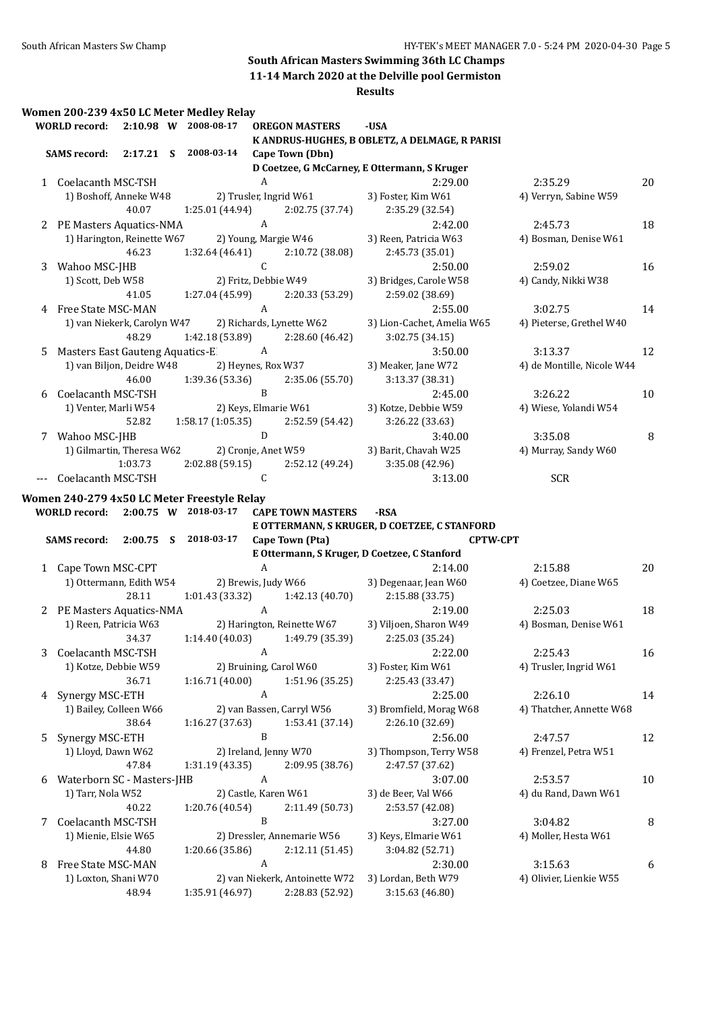**11-14 March 2020 at the Delville pool Germiston**

|   |                                 |             | Women 200-239 4x50 LC Meter Medley Relay    |                  |                                             |                                                |                            |    |
|---|---------------------------------|-------------|---------------------------------------------|------------------|---------------------------------------------|------------------------------------------------|----------------------------|----|
|   | <b>WORLD</b> record:            |             | 2:10.98 W 2008-08-17                        |                  | <b>OREGON MASTERS</b>                       | -USA                                           |                            |    |
|   |                                 |             |                                             |                  |                                             | K ANDRUS-HUGHES, B OBLETZ, A DELMAGE, R PARISI |                            |    |
|   | <b>SAMS</b> record:             | 2:17.21 S   | 2008-03-14                                  |                  | Cape Town (Dbn)                             |                                                |                            |    |
|   |                                 |             |                                             |                  |                                             | D Coetzee, G McCarney, E Ottermann, S Kruger   |                            |    |
|   | 1 Coelacanth MSC-TSH            |             |                                             | A                |                                             | 2:29.00                                        | 2:35.29                    | 20 |
|   | 1) Boshoff, Anneke W48          |             |                                             |                  | 2) Trusler, Ingrid W61                      | 3) Foster, Kim W61                             | 4) Verryn, Sabine W59      |    |
|   |                                 | 40.07       | 1:25.01 (44.94)                             |                  | 2:02.75 (37.74)                             | 2:35.29 (32.54)                                |                            |    |
|   | 2 PE Masters Aquatics-NMA       |             |                                             | A                |                                             | 2:42.00                                        | 2:45.73                    | 18 |
|   | 1) Harington, Reinette W67      |             |                                             |                  | 2) Young, Margie W46                        | 3) Reen, Patricia W63                          | 4) Bosman, Denise W61      |    |
|   |                                 | 46.23       | 1:32.64 (46.41)                             |                  | 2:10.72 (38.08)                             | 2:45.73 (35.01)                                |                            |    |
| 3 | Wahoo MSC-JHB                   |             |                                             | $\mathsf C$      |                                             | 2:50.00                                        | 2:59.02                    | 16 |
|   | 1) Scott, Deb W58               |             |                                             |                  | 2) Fritz, Debbie W49                        | 3) Bridges, Carole W58                         | 4) Candy, Nikki W38        |    |
|   |                                 | 41.05       | 1:27.04 (45.99)                             |                  | 2:20.33 (53.29)                             | 2:59.02 (38.69)                                |                            |    |
| 4 | Free State MSC-MAN              |             |                                             | A                |                                             | 2:55.00                                        | 3:02.75                    | 14 |
|   | 1) van Niekerk, Carolyn W47     | 48.29       | 1:42.18 (53.89)                             |                  | 2) Richards, Lynette W62<br>2:28.60 (46.42) | 3) Lion-Cachet, Amelia W65<br>3:02.75 (34.15)  | 4) Pieterse, Grethel W40   |    |
| 5 | Masters East Gauteng Aquatics-E |             |                                             | A                |                                             | 3:50.00                                        | 3:13.37                    | 12 |
|   | 1) van Biljon, Deidre W48       |             |                                             |                  | 2) Heynes, Rox W37                          | 3) Meaker, Jane W72                            | 4) de Montille, Nicole W44 |    |
|   |                                 | 46.00       | 1:39.36(53.36)                              |                  | 2:35.06 (55.70)                             | 3:13.37 (38.31)                                |                            |    |
| 6 | Coelacanth MSC-TSH              |             |                                             | $\mathbf B$      |                                             | 2:45.00                                        | 3:26.22                    | 10 |
|   | 1) Venter, Marli W54            | 52.82       | 1:58.17 (1:05.35)                           |                  | 2) Keys, Elmarie W61<br>2:52.59 (54.42)     | 3) Kotze, Debbie W59<br>3:26.22 (33.63)        | 4) Wiese, Yolandi W54      |    |
|   | 7 Wahoo MSC-JHB                 |             |                                             | $\mathbf D$      |                                             | 3:40.00                                        | 3:35.08                    | 8  |
|   | 1) Gilmartin, Theresa W62       |             |                                             |                  | 2) Cronje, Anet W59                         | 3) Barit, Chavah W25                           | 4) Murray, Sandy W60       |    |
|   |                                 | 1:03.73     | 2:02.88(59.15)                              |                  | 2:52.12 (49.24)                             | 3:35.08 (42.96)                                |                            |    |
|   | Coelacanth MSC-TSH              |             |                                             | $\mathsf C$      |                                             | 3:13.00                                        | <b>SCR</b>                 |    |
|   |                                 |             |                                             |                  |                                             |                                                |                            |    |
|   |                                 |             | Women 240-279 4x50 LC Meter Freestyle Relay |                  |                                             |                                                |                            |    |
|   | <b>WORLD</b> record:            |             | 2:00.75 W 2018-03-17                        |                  | <b>CAPE TOWN MASTERS</b>                    | -RSA                                           |                            |    |
|   |                                 |             |                                             |                  |                                             | E OTTERMANN, S KRUGER, D COETZEE, C STANFORD   |                            |    |
|   | <b>SAMS</b> record:             | $2:00.75$ S | 2018-03-17                                  |                  | Cape Town (Pta)                             |                                                | <b>CPTW-CPT</b>            |    |
|   |                                 |             |                                             | A                |                                             | E Ottermann, S Kruger, D Coetzee, C Stanford   |                            |    |
|   | 1 Cape Town MSC-CPT             |             |                                             |                  |                                             | 2:14.00                                        | 2:15.88                    | 20 |
|   | 1) Ottermann, Edith W54         |             |                                             |                  | 2) Brewis, Judy W66                         | 3) Degenaar, Jean W60                          | 4) Coetzee, Diane W65      |    |
|   |                                 | 28.11       | 1:01.43 (33.32)                             |                  | 1:42.13 (40.70)                             | 2:15.88 (33.75)                                |                            |    |
|   | 2 PE Masters Aquatics-NMA       |             |                                             | $\boldsymbol{A}$ |                                             | 2:19.00                                        | 2:25.03                    | 18 |
|   | 1) Reen, Patricia W63           |             |                                             |                  | 2) Harington, Reinette W67                  | 3) Viljoen, Sharon W49                         | 4) Bosman, Denise W61      |    |
|   |                                 | 34.37       |                                             |                  | $1:14.40(40.03)$ $1:49.79(35.39)$           | 2:25.03 (35.24)                                |                            |    |
| 3 | Coelacanth MSC-TSH              |             |                                             | A                |                                             | 2:22.00                                        | 2:25.43                    | 16 |
|   | 1) Kotze, Debbie W59            |             |                                             |                  | 2) Bruining, Carol W60                      | 3) Foster, Kim W61                             | 4) Trusler, Ingrid W61     |    |
|   |                                 | 36.71       | 1:16.71 (40.00)                             |                  | 1:51.96 (35.25)                             | 2:25.43 (33.47)                                |                            |    |
| 4 | Synergy MSC-ETH                 |             |                                             | $\boldsymbol{A}$ |                                             | 2:25.00                                        | 2:26.10                    | 14 |
|   | 1) Bailey, Colleen W66          |             |                                             |                  | 2) van Bassen, Carryl W56                   | 3) Bromfield, Morag W68                        | 4) Thatcher, Annette W68   |    |
|   |                                 | 38.64       | 1:16.27 (37.63)                             |                  | 1:53.41 (37.14)                             | 2:26.10 (32.69)                                |                            |    |
| 5 | Synergy MSC-ETH                 |             |                                             | B                |                                             | 2:56.00                                        | 2:47.57                    | 12 |
|   | 1) Lloyd, Dawn W62              |             |                                             |                  | 2) Ireland, Jenny W70                       | 3) Thompson, Terry W58                         | 4) Frenzel, Petra W51      |    |
|   |                                 | 47.84       | 1:31.19 (43.35)                             |                  | 2:09.95 (38.76)                             | 2:47.57 (37.62)                                |                            |    |
| 6 | Waterborn SC - Masters-JHB      |             |                                             | A                |                                             | 3:07.00                                        | 2:53.57                    | 10 |
|   | 1) Tarr, Nola W52               |             |                                             |                  | 2) Castle, Karen W61                        | 3) de Beer, Val W66                            | 4) du Rand, Dawn W61       |    |
|   |                                 | 40.22       | 1:20.76 (40.54)                             |                  | 2:11.49 (50.73)                             | 2:53.57 (42.08)                                |                            |    |
| 7 | Coelacanth MSC-TSH              |             |                                             | B                |                                             | 3:27.00                                        | 3:04.82                    | 8  |
|   | 1) Mienie, Elsie W65            |             |                                             |                  | 2) Dressler, Annemarie W56                  | 3) Keys, Elmarie W61                           | 4) Moller, Hesta W61       |    |
|   |                                 | 44.80       | 1:20.66 (35.86)                             |                  | 2:12.11 (51.45)                             | 3:04.82 (52.71)                                |                            |    |
| 8 | Free State MSC-MAN              |             |                                             | A                |                                             | 2:30.00                                        | 3:15.63                    | 6  |
|   | 1) Loxton, Shani W70            |             |                                             |                  | 2) van Niekerk, Antoinette W72              | 3) Lordan, Beth W79                            | 4) Olivier, Lienkie W55    |    |
|   |                                 | 48.94       | 1:35.91 (46.97)                             |                  | 2:28.83 (52.92)                             | 3:15.63 (46.80)                                |                            |    |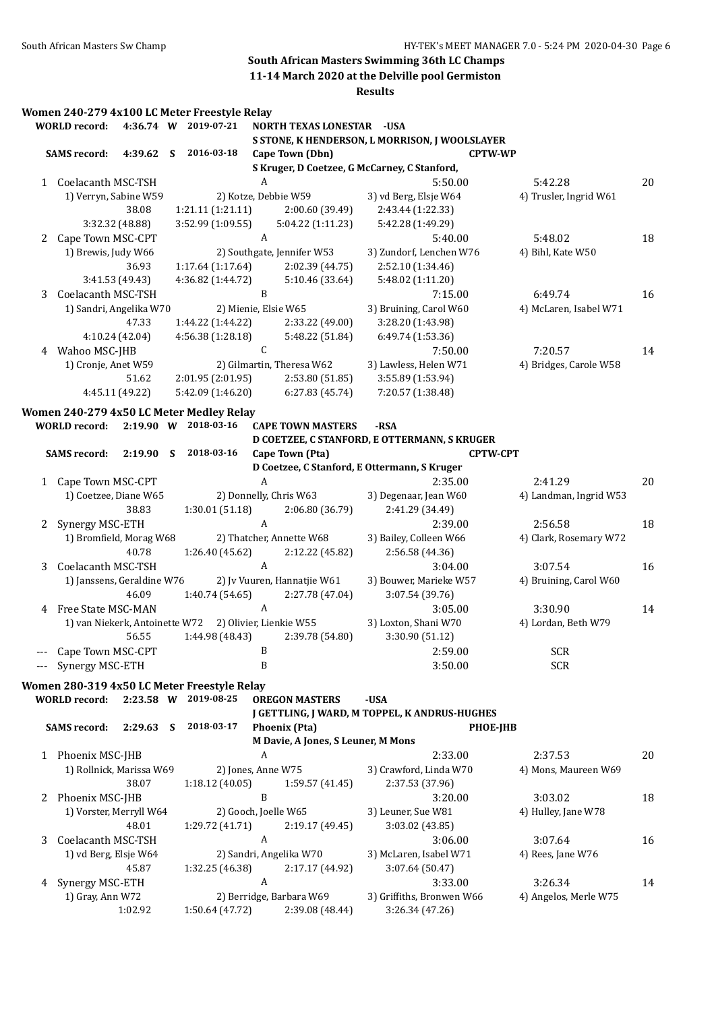**11-14 March 2020 at the Delville pool Germiston**

|   | <b>WORLD</b> record:       |                 |   | Women 240-279 4x100 LC Meter Freestyle Relay<br>4:36.74 W 2019-07-21 |              | <b>NORTH TEXAS LONESTAR - USA</b>  |                                                |                        |    |
|---|----------------------------|-----------------|---|----------------------------------------------------------------------|--------------|------------------------------------|------------------------------------------------|------------------------|----|
|   |                            |                 |   |                                                                      |              |                                    | S STONE, K HENDERSON, L MORRISON, J WOOLSLAYER |                        |    |
|   | <b>SAMS record:</b>        |                 |   | 4:39.62 S 2016-03-18                                                 |              | Cape Town (Dbn)                    |                                                | <b>CPTW-WP</b>         |    |
|   |                            |                 |   |                                                                      |              |                                    | S Kruger, D Coetzee, G McCarney, C Stanford,   |                        |    |
|   | 1 Coelacanth MSC-TSH       |                 |   |                                                                      | A            |                                    | 5:50.00                                        | 5:42.28                | 20 |
|   | 1) Verryn, Sabine W59      |                 |   |                                                                      |              | 2) Kotze, Debbie W59               | 3) vd Berg, Elsje W64                          | 4) Trusler, Ingrid W61 |    |
|   |                            | 38.08           |   | 1:21.11 (1:21.11)                                                    |              | 2:00.60 (39.49)                    | 2:43.44 (1:22.33)                              |                        |    |
|   |                            | 3:32.32 (48.88) |   | 3:52.99 (1:09.55)                                                    |              | 5:04.22 (1:11.23)                  | 5:42.28 (1:49.29)                              |                        |    |
|   | 2 Cape Town MSC-CPT        |                 |   |                                                                      | A            |                                    | 5:40.00                                        | 5:48.02                | 18 |
|   | 1) Brewis, Judy W66        |                 |   |                                                                      |              | 2) Southgate, Jennifer W53         | 3) Zundorf, Lenchen W76                        | 4) Bihl, Kate W50      |    |
|   |                            | 36.93           |   | 1:17.64 (1:17.64)                                                    |              | 2:02.39 (44.75)                    | 2:52.10 (1:34.46)                              |                        |    |
|   |                            | 3:41.53 (49.43) |   | 4:36.82 (1:44.72)                                                    |              | 5:10.46 (33.64)                    | 5:48.02 (1:11.20)                              |                        |    |
|   | 3 Coelacanth MSC-TSH       |                 |   |                                                                      | B            |                                    | 7:15.00                                        | 6:49.74                | 16 |
|   | 1) Sandri, Angelika W70    |                 |   |                                                                      |              | 2) Mienie, Elsie W65               | 3) Bruining, Carol W60                         | 4) McLaren, Isabel W71 |    |
|   |                            | 47.33           |   | 1:44.22 (1:44.22)                                                    |              | 2:33.22 (49.00)                    | 3:28.20 (1:43.98)                              |                        |    |
|   |                            | 4:10.24 (42.04) |   | 4:56.38 (1:28.18)                                                    |              | 5:48.22 (51.84)                    | 6:49.74 (1:53.36)                              |                        |    |
|   | 4 Wahoo MSC-JHB            |                 |   |                                                                      | $\mathsf{C}$ |                                    | 7:50.00                                        | 7:20.57                | 14 |
|   | 1) Cronje, Anet W59        |                 |   |                                                                      |              | 2) Gilmartin, Theresa W62          | 3) Lawless, Helen W71                          | 4) Bridges, Carole W58 |    |
|   |                            | 51.62           |   | 2:01.95 (2:01.95)                                                    |              | 2:53.80 (51.85)                    | 3:55.89 (1:53.94)                              |                        |    |
|   |                            | 4:45.11 (49.22) |   | 5:42.09 (1:46.20)                                                    |              | 6:27.83 (45.74)                    | 7:20.57 (1:38.48)                              |                        |    |
|   |                            |                 |   |                                                                      |              |                                    |                                                |                        |    |
|   |                            |                 |   | Women 240-279 4x50 LC Meter Medley Relay                             |              |                                    |                                                |                        |    |
|   | <b>WORLD</b> record:       |                 |   | 2:19.90 W 2018-03-16                                                 |              | <b>CAPE TOWN MASTERS</b>           | -RSA                                           |                        |    |
|   |                            |                 |   |                                                                      |              |                                    | D COETZEE, C STANFORD, E OTTERMANN, S KRUGER   |                        |    |
|   | <b>SAMS</b> record:        |                 |   | 2:19.90 S 2018-03-16                                                 |              | Cape Town (Pta)                    |                                                | <b>CPTW-CPT</b>        |    |
|   |                            |                 |   |                                                                      |              |                                    | D Coetzee, C Stanford, E Ottermann, S Kruger   |                        |    |
|   | 1 Cape Town MSC-CPT        |                 |   |                                                                      | A            |                                    | 2:35.00                                        | 2:41.29                | 20 |
|   | 1) Coetzee, Diane W65      |                 |   |                                                                      |              | 2) Donnelly, Chris W63             | 3) Degenaar, Jean W60                          | 4) Landman, Ingrid W53 |    |
|   |                            | 38.83           |   | 1:30.01(51.18)                                                       |              | 2:06.80 (36.79)                    | 2:41.29 (34.49)                                |                        |    |
| 2 | Synergy MSC-ETH            |                 |   |                                                                      | A            |                                    | 2:39.00                                        | 2:56.58                | 18 |
|   | 1) Bromfield, Morag W68    |                 |   |                                                                      |              | 2) Thatcher, Annette W68           | 3) Bailey, Colleen W66                         | 4) Clark, Rosemary W72 |    |
|   |                            | 40.78           |   | 1:26.40 (45.62)                                                      |              | 2:12.22 (45.82)                    | 2:56.58 (44.36)                                |                        |    |
| 3 | Coelacanth MSC-TSH         |                 |   |                                                                      | A            |                                    | 3:04.00                                        | 3:07.54                | 16 |
|   | 1) Janssens, Geraldine W76 |                 |   |                                                                      |              | 2) Jv Vuuren, Hannatjie W61        | 3) Bouwer, Marieke W57                         | 4) Bruining, Carol W60 |    |
|   |                            | 46.09           |   | 1:40.74 (54.65)                                                      |              | 2:27.78 (47.04)                    | 3:07.54 (39.76)                                |                        |    |
|   | 4 Free State MSC-MAN       |                 |   |                                                                      | A            |                                    | 3:05.00                                        | 3:30.90                | 14 |
|   |                            |                 |   | 1) van Niekerk, Antoinette W72 2) Olivier, Lienkie W55               |              |                                    | 3) Loxton, Shani W70                           | 4) Lordan, Beth W79    |    |
|   |                            | 56.55           |   |                                                                      |              | 1:44.98 (48.43) 2:39.78 (54.80)    | 3:30.90 (51.12)                                |                        |    |
|   | Cape Town MSC-CPT          |                 |   |                                                                      | B            |                                    | 2:59.00                                        | <b>SCR</b>             |    |
|   | Synergy MSC-ETH            |                 |   |                                                                      | B            |                                    | 3:50.00                                        | <b>SCR</b>             |    |
|   |                            |                 |   |                                                                      |              |                                    |                                                |                        |    |
|   |                            |                 |   | Women 280-319 4x50 LC Meter Freestyle Relay                          |              |                                    |                                                |                        |    |
|   | <b>WORLD</b> record:       |                 |   | 2:23.58 W 2019-08-25                                                 |              | <b>OREGON MASTERS</b>              | -USA                                           |                        |    |
|   |                            |                 |   |                                                                      |              |                                    | J GETTLING, J WARD, M TOPPEL, K ANDRUS-HUGHES  |                        |    |
|   | <b>SAMS</b> record:        | 2:29.63         | S | 2018-03-17                                                           |              | <b>Phoenix (Pta)</b>               |                                                | <b>PHOE-JHB</b>        |    |
|   |                            |                 |   |                                                                      |              | M Davie, A Jones, S Leuner, M Mons |                                                |                        |    |
|   | 1 Phoenix MSC-JHB          |                 |   |                                                                      | A            |                                    | 2:33.00                                        | 2:37.53                | 20 |
|   | 1) Rollnick, Marissa W69   |                 |   |                                                                      |              | 2) Jones, Anne W75                 | 3) Crawford, Linda W70                         | 4) Mons, Maureen W69   |    |
|   |                            | 38.07           |   | 1:18.12 (40.05)                                                      |              | 1:59.57 (41.45)                    | 2:37.53 (37.96)                                |                        |    |
| 2 | Phoenix MSC-JHB            |                 |   |                                                                      | B            |                                    | 3:20.00                                        | 3:03.02                | 18 |
|   | 1) Vorster, Merryll W64    |                 |   |                                                                      |              | 2) Gooch, Joelle W65               | 3) Leuner, Sue W81                             | 4) Hulley, Jane W78    |    |
|   |                            | 48.01           |   | 1:29.72 (41.71)                                                      |              | 2:19.17 (49.45)                    | 3:03.02 (43.85)                                |                        |    |
| 3 | Coelacanth MSC-TSH         |                 |   |                                                                      | A            |                                    | 3:06.00                                        | 3:07.64                | 16 |
|   | 1) vd Berg, Elsje W64      |                 |   |                                                                      |              | 2) Sandri, Angelika W70            | 3) McLaren, Isabel W71                         | 4) Rees, Jane W76      |    |
|   |                            | 45.87           |   |                                                                      |              |                                    |                                                |                        |    |
|   |                            |                 |   | 1:32.25 (46.38)                                                      | A            | 2:17.17 (44.92)                    | 3:07.64 (50.47)                                |                        |    |
| 4 | Synergy MSC-ETH            |                 |   |                                                                      |              |                                    | 3:33.00                                        | 3:26.34                | 14 |
|   | 1) Gray, Ann W72           |                 |   |                                                                      |              | 2) Berridge, Barbara W69           | 3) Griffiths, Bronwen W66                      | 4) Angelos, Merle W75  |    |
|   |                            | 1:02.92         |   | 1:50.64 (47.72)                                                      |              | 2:39.08 (48.44)                    | 3:26.34 (47.26)                                |                        |    |